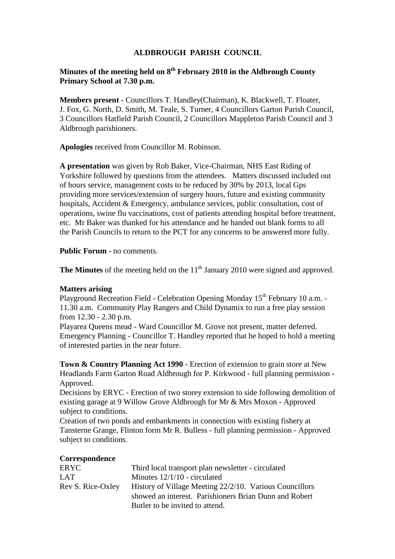## **ALDBROUGH PARISH COUNCIL**

# **Minutes of the meeting held on 8th February 2010 in the Aldbrough County Primary School at 7.30 p.m.**

**Members present** - Councillors T. Handley(Chairman), K. Blackwell, T. Floater, J. Fox, G. North, D. Smith, M. Teale, S. Turner, 4 Councillors Garton Parish Council, 3 Councillors Hatfield Parish Council, 2 Councillors Mappleton Parish Council and 3 Aldbrough parishioners.

**Apologies** received from Councillor M. Robinson.

**A presentation** was given by Rob Baker, Vice-Chairman, NHS East Riding of Yorkshire followed by questions from the attendees. Matters discussed included out of hours service, management costs to be reduced by 30% by 2013, local Gps providing more services/extension of surgery hours, future and existing community hospitals, Accident & Emergency, ambulance services, public consultation, cost of operations, swine flu vaccinations, cost of patients attending hospital before treatment, etc. Mr Baker was thanked for his attendance and he handed out blank forms to all the Parish Councils to return to the PCT for any concerns to be answered more fully.

**Public Forum** - no comments.

**The Minutes** of the meeting held on the 11<sup>th</sup> January 2010 were signed and approved.

#### **Matters arising**

Playground Recreation Field - Celebration Opening Monday 15<sup>th</sup> February 10 a.m. -11.30 a.m. Community Play Rangers and Child Dynamix to run a free play session from 12.30 - 2.30 p.m.

Playarea Queens mead - Ward Councillor M. Grove not present, matter deferred. Emergency Planning - Councillor T. Handley reported that he hoped to hold a meeting of interested parties in the near future.

**Town & Country Planning Act 1990** - Erection of extension to grain store at New Headlands Farm Garton Road Aldbrough for P. Kirkwood - full planning permission - Approved.

Decisions by ERYC - Erection of two storey extension to side following demolition of existing garage at 9 Willow Grove Aldbrough for Mr & Mrs Moxon - Approved subject to conditions.

Creation of two ponds and embankments in connection with existing fishery at Tansterne Grange, Flinton form Mr R. Bulless - full planning permission - Approved subject to conditions.

### **Correspondence**

| ERYC              | Third local transport plan newsletter - circulated      |
|-------------------|---------------------------------------------------------|
| LAT               | Minutes $12/1/10$ - circulated                          |
| Rev S. Rice-Oxley | History of Village Meeting 22/2/10. Various Councillors |
|                   | showed an interest. Parishioners Brian Dunn and Robert  |
|                   | Butler to be invited to attend.                         |